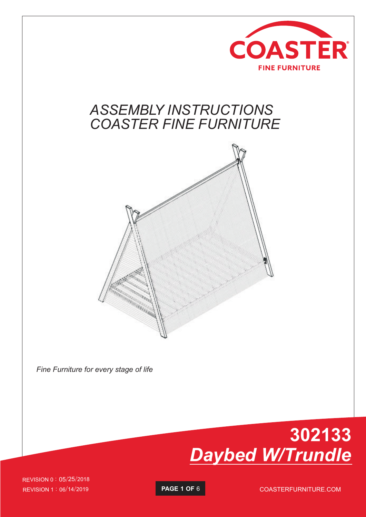

#### *ASSEMBLY INSTRUCTIONS COASTER FINE FURNITURE*



*Fine Furniture for every stage of life*



REVISION 1 : 06/14/2019 **PAGE 1 OF** 6 COASTERFURNITURE.COM REVISION 0 : 05/25/2018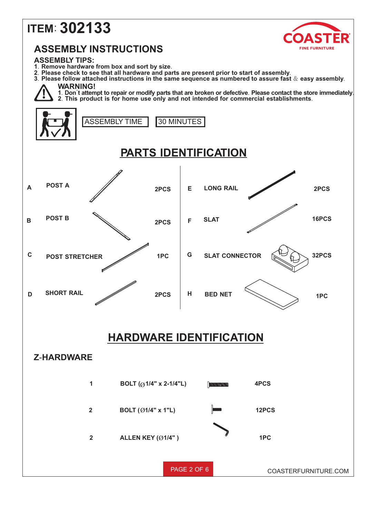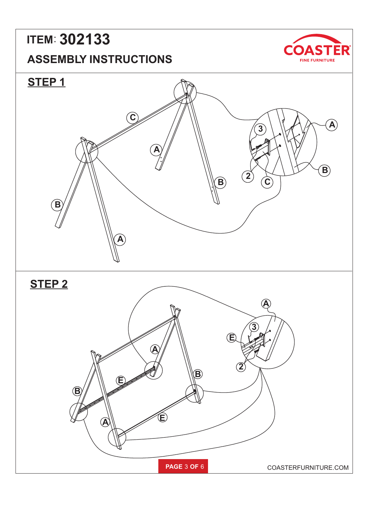# **ITEM**: **302133**

#### **ASSEMBLY INSTRUCTIONS**



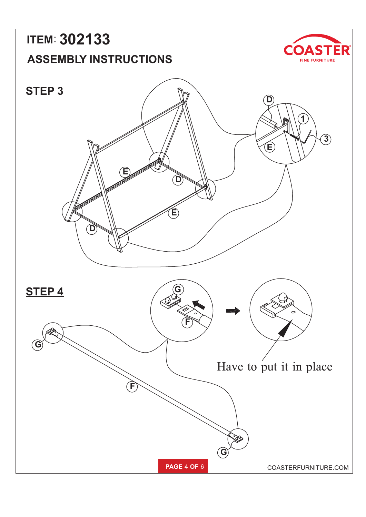### **ASSEMBLY INSTRUCTIONS ITEM**: **302133**



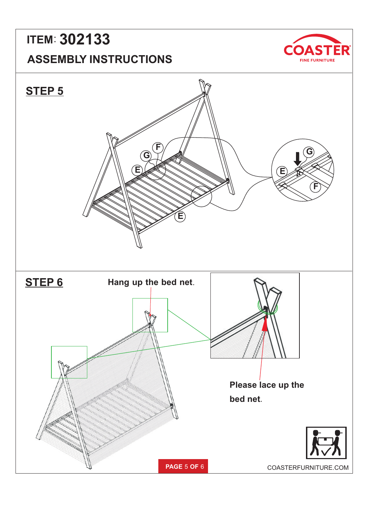### **ASSEMBLY INSTRUCTIONS ITEM**: **302133**